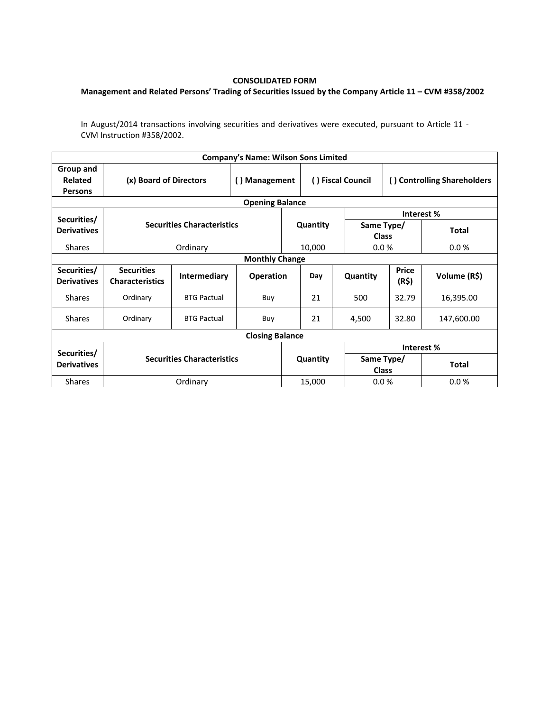## **CONSOLIDATED FORM**

## **Management and Related Persons' Trading of Securities Issued by the Company Article 11 – CVM #358/2002**

In August/2014 transactions involving securities and derivatives were executed, pursuant to Article 11 - CVM Instruction #358/2002.

|                                        |                                             |                     | Company's Name: Wilson Sons Limited   |  |                   |                            |                             |              |  |  |  |  |
|----------------------------------------|---------------------------------------------|---------------------|---------------------------------------|--|-------------------|----------------------------|-----------------------------|--------------|--|--|--|--|
| Group and<br>Related<br><b>Persons</b> | (x) Board of Directors                      |                     | <b>Management</b><br>$\left( \right)$ |  | () Fiscal Council |                            | () Controlling Shareholders |              |  |  |  |  |
| <b>Opening Balance</b>                 |                                             |                     |                                       |  |                   |                            |                             |              |  |  |  |  |
| Securities/                            | <b>Securities Characteristics</b>           |                     |                                       |  |                   |                            | Interest %                  |              |  |  |  |  |
| <b>Derivatives</b>                     |                                             |                     |                                       |  | Quantity          | Same Type/<br><b>Class</b> |                             | <b>Total</b> |  |  |  |  |
| <b>Shares</b>                          |                                             | Ordinary            |                                       |  | 10,000            | 0.0%                       |                             | 0.0%         |  |  |  |  |
| <b>Monthly Change</b>                  |                                             |                     |                                       |  |                   |                            |                             |              |  |  |  |  |
| Securities/<br><b>Derivatives</b>      | <b>Securities</b><br><b>Characteristics</b> | <b>Intermediary</b> | <b>Operation</b>                      |  | Day               | Quantity                   | <b>Price</b><br>(R\$)       | Volume (R\$) |  |  |  |  |
| <b>Shares</b>                          | Ordinary                                    | <b>BTG Pactual</b>  | Buy                                   |  |                   | 500                        | 32.79                       | 16,395.00    |  |  |  |  |
| <b>Shares</b>                          | Ordinary                                    | <b>BTG Pactual</b>  | Buy                                   |  | 21                | 4,500                      | 32.80                       | 147,600.00   |  |  |  |  |
| <b>Closing Balance</b>                 |                                             |                     |                                       |  |                   |                            |                             |              |  |  |  |  |
| Securities/<br><b>Derivatives</b>      |                                             |                     |                                       |  |                   | Interest %                 |                             |              |  |  |  |  |
|                                        | <b>Securities Characteristics</b>           |                     |                                       |  | Quantity          | Same Type/<br><b>Class</b> |                             | <b>Total</b> |  |  |  |  |
| <b>Shares</b>                          |                                             | Ordinary            |                                       |  | 15,000            | 0.0 %                      |                             | 0.0%         |  |  |  |  |